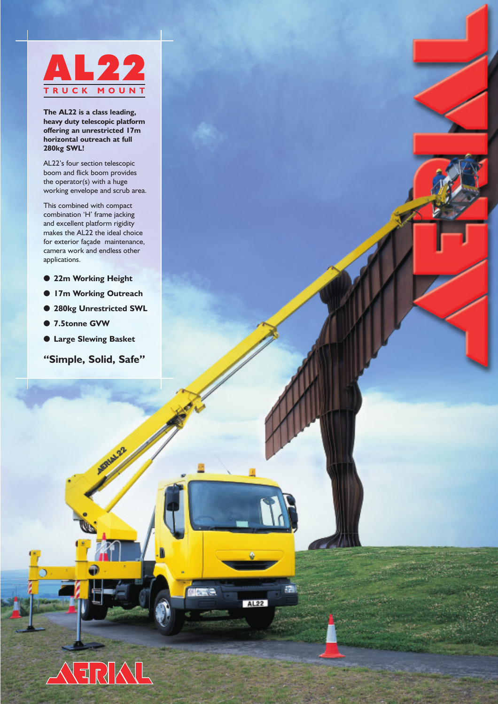

**The AL22 is a class leading, heavy duty telescopic platform offering an unrestricted 17m horizontal outreach at full 280kg SWL!**

AL22's four section telescopic boom and flick boom provides the operator(s) with a huge working envelope and scrub area.

This combined with compact combination 'H' frame jacking and excellent platform rigidity makes the AL22 the ideal choice for exterior façade maintenance, camera work and endless other applications.

- **22m Working Height**
- **17m Working Outreach**
- **280kg Unrestricted SWL**
- **7.5tonne GVW**
- **Large Slewing Basket**
- **"Simple, Solid, Safe"**

Agmat 22



 $AL22$